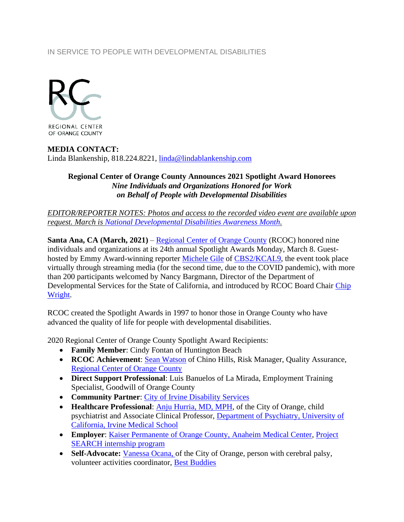## IN SERVICE TO PEOPLE WITH DEVELOPMENTAL DISABILITIES



## **MEDIA CONTACT:** Linda Blankenship, 818.224.8221, [linda@lindablankenship.com](mailto:linda@lindablankenship.com)

## **Regional Center of Orange County Announces 2021 Spotlight Award Honorees** *Nine Individuals and Organizations Honored for Work on Behalf of People with Developmental Disabilities*

*EDITOR/REPORTER NOTES: Photos and access to the recorded video event are available upon request. March is [National Developmental Disabilities Awareness Month.](https://www.nacdd.org/ddam1/)*

**Santa Ana, CA (March, 2021)** – [Regional Center of Orange County](http://www.rcocdd.com/) (RCOC) honored nine individuals and organizations at its 24th annual Spotlight Awards Monday, March 8. Guesthosted by Emmy Award-winning reporter [Michele Gile](https://losangeles.cbslocal.com/personality/michele-gile/) of [CBS2/KCAL9,](https://losangeles.cbslocal.com/station/cbs-kcal/) the event took place virtually through streaming media (for the second time, due to the COVID pandemic), with more than 200 participants welcomed by Nancy Bargmann, Director of the Department of Developmental Services for the State of California, and introduced by RCOC Board Chair [Chip](http://www.cbre.us/people-and-offices/chip-wright)  [Wright.](http://www.cbre.us/people-and-offices/chip-wright)

RCOC created the Spotlight Awards in 1997 to honor those in Orange County who have advanced the quality of life for people with developmental disabilities.

2020 Regional Center of Orange County Spotlight Award Recipients:

- **Family Member**: Cindy Fontan of Huntington Beach
- **RCOC Achievement**: [Sean Watson](https://www.linkedin.com/in/sean-watson-0a611753/) of Chino Hills, Risk Manager, Quality Assurance, [Regional Center of Orange County](https://www.rcocdd.com/)
- **Direct Support Professional**: Luis Banuelos of La Mirada, Employment Training Specialist, Goodwill of Orange County
- **Community Partner**: [City of Irvine Disability Services](https://www.cityofirvine.org/disability-services)
- **Healthcare Professional**: [Anju Hurria, MD, MPH,](http://www.ucihealth.org/find-a-doctor/h/anju-hurria) of the City of Orange, child psychiatrist and Associate Clinical Professor, [Department of Psychiatry, University of](http://www.psychiatry.uci.edu/)  [California, Irvine Medical School](http://www.psychiatry.uci.edu/)
- **Employer**: Kaiser Permanente [of Orange County, Anaheim Medical Center,](https://thrive.kaiserpermanente.org/care-near-you/southern-california/orange-county/locations/orange-county-anaheim-medical-center/) [Project](https://www.rcocdd.com/wp-content/uploads/2020/01/PROJECTSEARCHProgramKP.pdf)  [SEARCH internship program](https://www.rcocdd.com/wp-content/uploads/2020/01/PROJECTSEARCHProgramKP.pdf)
- Self-Advocate: [Vanessa Ocana,](https://www.linkedin.com/in/vanessa-ocana-09938962/) of the City of Orange, person with cerebral palsy, volunteer activities coordinator, [Best Buddies](https://www.bestbuddies.org/)